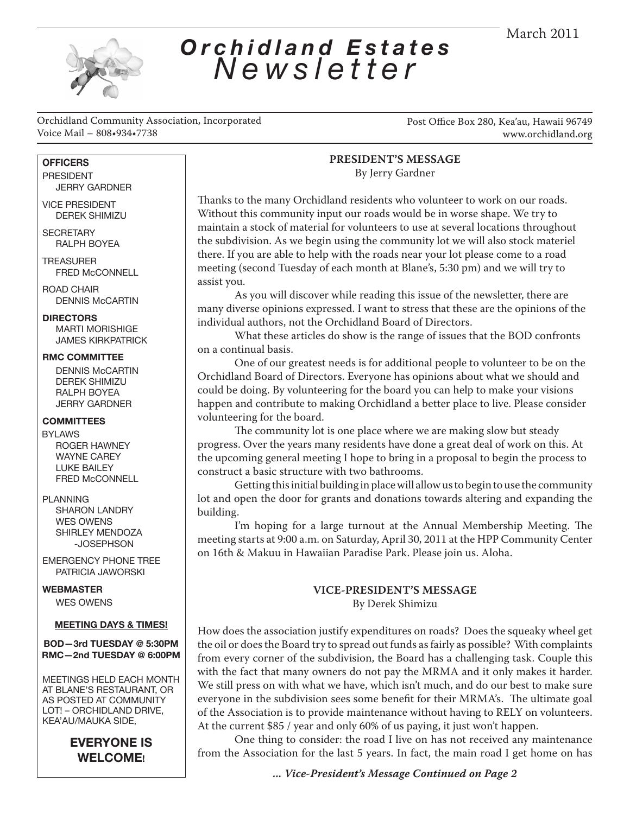

### *Orchidland Estates Newsletter*

Orchidland Community Association, Incorporated Voice Mail – 808•934•7738

Post Office Box 280, Kea'au, Hawaii 96749 www.orchidland.org

#### **OFFICERS**

 PRESIDENT JERRY GARDNER

 VICE PRESIDENT DEREK SHIMIZU

**SECRETARY** RALPH BOYEA

**TREASURER** FRED McCONNELL

 ROAD CHAIR DENNIS McCARTIN

#### **DIRECTORS**

MARTI MORISHIGE JAMES KIRKPATRICK

#### **RMC COMMITTEE**

DENNIS McCARTIN DEREK SHIMIZU RALPH BOYEA JERRY GARDNER

#### **COMMITTEES**

 BYLAWS ROGER HAWNEY WAYNE CAREY LUKE BAILEY FRED McCONNELL

#### PLANNING

SHARON LANDRY WES OWENS SHIRLEY MENDOZA -JOSEPHSON

 EMERGENCY PHONE TREE PATRICIA JAWORSKI

 **WEBMASTER**

 $\overline{\phantom{a}}$ 

WES OWENS

#### **MEETING DAYS & TIMES!**

#### **BOD—3rd TUESDAY @ 5:30PM RMC—2nd TUESDAY @ 6:00PM**

 MEETINGS HELD EACH MONTH AT BLANE'S RESTAURANT, OR AS POSTED AT COMMUNITY LOT! – ORCHIDLAND DRIVE, KEA'AU/MAUKA SIDE,

> **EVERYONE IS WELCOME!**

**PRESIDENT'S MESSAGE** By Jerry Gardner

Thanks to the many Orchidland residents who volunteer to work on our roads. Without this community input our roads would be in worse shape. We try to maintain a stock of material for volunteers to use at several locations throughout the subdivision. As we begin using the community lot we will also stock materiel there. If you are able to help with the roads near your lot please come to a road meeting (second Tuesday of each month at Blane's, 5:30 pm) and we will try to assist you.

As you will discover while reading this issue of the newsletter, there are many diverse opinions expressed. I want to stress that these are the opinions of the individual authors, not the Orchidland Board of Directors.

What these articles do show is the range of issues that the BOD confronts on a continual basis.

One of our greatest needs is for additional people to volunteer to be on the Orchidland Board of Directors. Everyone has opinions about what we should and could be doing. By volunteering for the board you can help to make your visions happen and contribute to making Orchidland a better place to live. Please consider volunteering for the board.

The community lot is one place where we are making slow but steady progress. Over the years many residents have done a great deal of work on this. At the upcoming general meeting I hope to bring in a proposal to begin the process to construct a basic structure with two bathrooms.

Getting this initial building in place will allow us to begin to use the community lot and open the door for grants and donations towards altering and expanding the building.

I'm hoping for a large turnout at the Annual Membership Meeting. The meeting starts at 9:00 a.m. on Saturday, April 30, 2011 at the HPP Community Center on 16th & Makuu in Hawaiian Paradise Park. Please join us. Aloha.

#### **VICE-PRESIDENT'S MESSAGE** By Derek Shimizu

How does the association justify expenditures on roads? Does the squeaky wheel get the oil or does the Board try to spread out funds as fairly as possible? With complaints from every corner of the subdivision, the Board has a challenging task. Couple this with the fact that many owners do not pay the MRMA and it only makes it harder. We still press on with what we have, which isn't much, and do our best to make sure everyone in the subdivision sees some benefit for their MRMA's. The ultimate goal of the Association is to provide maintenance without having to RELY on volunteers. At the current \$85 / year and only 60% of us paying, it just won't happen.

One thing to consider: the road I live on has not received any maintenance from the Association for the last 5 years. In fact, the main road I get home on has

*... Vice-President's Message Continued on Page 2*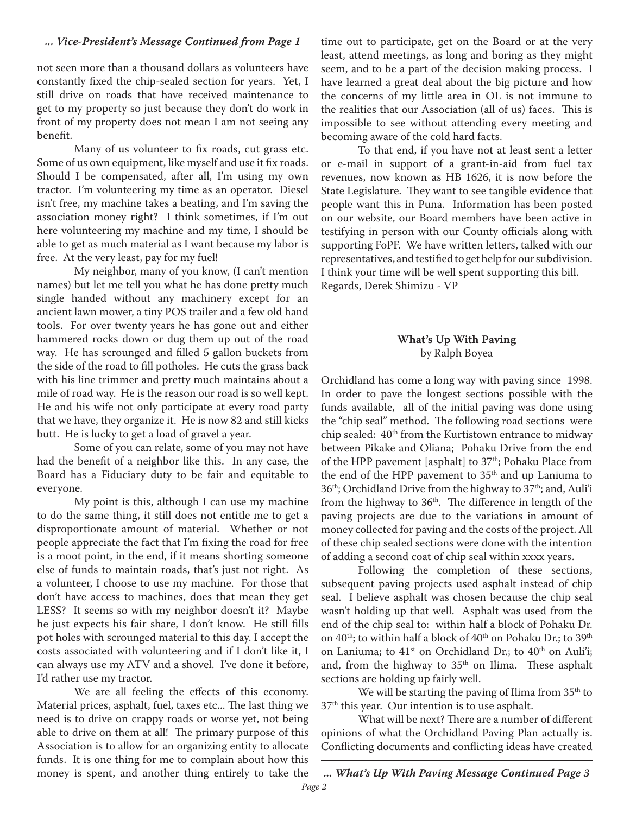#### *... Vice-President's Message Continued from Page 1*

not seen more than a thousand dollars as volunteers have constantly fixed the chip-sealed section for years. Yet, I still drive on roads that have received maintenance to get to my property so just because they don't do work in front of my property does not mean I am not seeing any benefit.

Many of us volunteer to fix roads, cut grass etc. Some of us own equipment, like myself and use it fix roads. Should I be compensated, after all, I'm using my own tractor. I'm volunteering my time as an operator. Diesel isn't free, my machine takes a beating, and I'm saving the association money right? I think sometimes, if I'm out here volunteering my machine and my time, I should be able to get as much material as I want because my labor is free. At the very least, pay for my fuel!

My neighbor, many of you know, (I can't mention names) but let me tell you what he has done pretty much single handed without any machinery except for an ancient lawn mower, a tiny POS trailer and a few old hand tools. For over twenty years he has gone out and either hammered rocks down or dug them up out of the road way. He has scrounged and filled 5 gallon buckets from the side of the road to fill potholes. He cuts the grass back with his line trimmer and pretty much maintains about a mile of road way. He is the reason our road is so well kept. He and his wife not only participate at every road party that we have, they organize it. He is now 82 and still kicks butt. He is lucky to get a load of gravel a year.

Some of you can relate, some of you may not have had the benefit of a neighbor like this. In any case, the Board has a Fiduciary duty to be fair and equitable to everyone.

My point is this, although I can use my machine to do the same thing, it still does not entitle me to get a disproportionate amount of material. Whether or not people appreciate the fact that I'm fixing the road for free is a moot point, in the end, if it means shorting someone else of funds to maintain roads, that's just not right. As a volunteer, I choose to use my machine. For those that don't have access to machines, does that mean they get LESS? It seems so with my neighbor doesn't it? Maybe he just expects his fair share, I don't know. He still fills pot holes with scrounged material to this day. I accept the costs associated with volunteering and if I don't like it, I can always use my ATV and a shovel. I've done it before, I'd rather use my tractor.

We are all feeling the effects of this economy. Material prices, asphalt, fuel, taxes etc... The last thing we need is to drive on crappy roads or worse yet, not being able to drive on them at all! The primary purpose of this Association is to allow for an organizing entity to allocate funds. It is one thing for me to complain about how this money is spent, and another thing entirely to take the

time out to participate, get on the Board or at the very least, attend meetings, as long and boring as they might seem, and to be a part of the decision making process. I have learned a great deal about the big picture and how the concerns of my little area in OL is not immune to the realities that our Association (all of us) faces. This is impossible to see without attending every meeting and becoming aware of the cold hard facts.

To that end, if you have not at least sent a letter or e-mail in support of a grant-in-aid from fuel tax revenues, now known as HB 1626, it is now before the State Legislature. They want to see tangible evidence that people want this in Puna. Information has been posted on our website, our Board members have been active in testifying in person with our County officials along with supporting FoPF. We have written letters, talked with our representatives, and testified to get help for our subdivision. I think your time will be well spent supporting this bill. Regards, Derek Shimizu - VP

#### **What's Up With Paving**  by Ralph Boyea

Orchidland has come a long way with paving since 1998. In order to pave the longest sections possible with the funds available, all of the initial paving was done using the "chip seal" method. The following road sections were chip sealed: 40<sup>th</sup> from the Kurtistown entrance to midway between Pikake and Oliana; Pohaku Drive from the end of the HPP pavement [asphalt] to 37<sup>th</sup>; Pohaku Place from the end of the HPP pavement to 35<sup>th</sup> and up Laniuma to 36<sup>th</sup>; Orchidland Drive from the highway to 37<sup>th</sup>; and, Auli'i from the highway to  $36<sup>th</sup>$ . The difference in length of the paving projects are due to the variations in amount of money collected for paving and the costs of the project. All of these chip sealed sections were done with the intention of adding a second coat of chip seal within xxxx years.

Following the completion of these sections, subsequent paving projects used asphalt instead of chip seal. I believe asphalt was chosen because the chip seal wasn't holding up that well. Asphalt was used from the end of the chip seal to: within half a block of Pohaku Dr. on 40<sup>th</sup>; to within half a block of 40<sup>th</sup> on Pohaku Dr.; to 39<sup>th</sup> on Laniuma; to 41<sup>st</sup> on Orchidland Dr.; to 40<sup>th</sup> on Auli'i; and, from the highway to  $35<sup>th</sup>$  on Ilima. These asphalt sections are holding up fairly well.

We will be starting the paving of Ilima from 35<sup>th</sup> to 37th this year. Our intention is to use asphalt.

What will be next? There are a number of different opinions of what the Orchidland Paving Plan actually is. Conflicting documents and conflicting ideas have created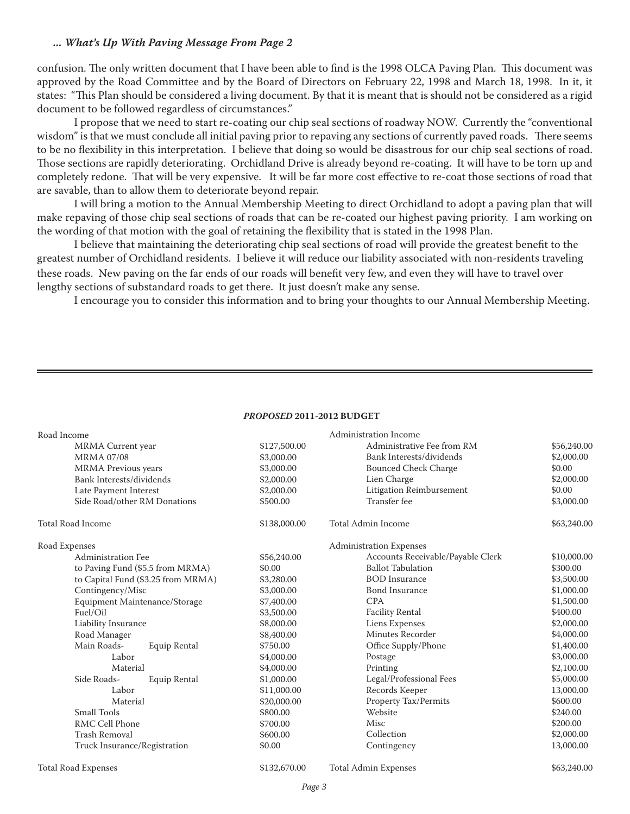#### *... What's Up With Paving Message From Page 2*

confusion. The only written document that I have been able to find is the 1998 OLCA Paving Plan. This document was approved by the Road Committee and by the Board of Directors on February 22, 1998 and March 18, 1998. In it, it states: "This Plan should be considered a living document. By that it is meant that is should not be considered as a rigid document to be followed regardless of circumstances."

I propose that we need to start re-coating our chip seal sections of roadway NOW. Currently the "conventional wisdom" is that we must conclude all initial paving prior to repaving any sections of currently paved roads. There seems to be no flexibility in this interpretation. I believe that doing so would be disastrous for our chip seal sections of road. Those sections are rapidly deteriorating. Orchidland Drive is already beyond re-coating. It will have to be torn up and completely redone. That will be very expensive. It will be far more cost effective to re-coat those sections of road that are savable, than to allow them to deteriorate beyond repair.

I will bring a motion to the Annual Membership Meeting to direct Orchidland to adopt a paving plan that will make repaving of those chip seal sections of roads that can be re-coated our highest paving priority. I am working on the wording of that motion with the goal of retaining the flexibility that is stated in the 1998 Plan.

I believe that maintaining the deteriorating chip seal sections of road will provide the greatest benefit to the greatest number of Orchidland residents. I believe it will reduce our liability associated with non-residents traveling these roads. New paving on the far ends of our roads will benefit very few, and even they will have to travel over lengthy sections of substandard roads to get there. It just doesn't make any sense.

I encourage you to consider this information and to bring your thoughts to our Annual Membership Meeting.

| <i>PROPOSED 2</i> 011- <i>2</i> 012 BUDGET |                              |              |                                   |             |  |  |
|--------------------------------------------|------------------------------|--------------|-----------------------------------|-------------|--|--|
| Road Income                                |                              |              | <b>Administration Income</b>      |             |  |  |
| MRMA Current year                          |                              | \$127,500.00 | Administrative Fee from RM        | \$56,240.00 |  |  |
| <b>MRMA 07/08</b>                          |                              | \$3,000.00   | Bank Interests/dividends          | \$2,000.00  |  |  |
| <b>MRMA</b> Previous years                 |                              | \$3,000.00   | <b>Bounced Check Charge</b>       | \$0.00      |  |  |
| Bank Interests/dividends                   |                              | \$2,000.00   | Lien Charge                       | \$2,000.00  |  |  |
| Late Payment Interest                      |                              | \$2,000.00   | Litigation Reimbursement          | \$0.00      |  |  |
|                                            | Side Road/other RM Donations | \$500.00     | Transfer fee                      | \$3,000.00  |  |  |
| <b>Total Road Income</b>                   |                              | \$138,000.00 | <b>Total Admin Income</b>         | \$63,240.00 |  |  |
| Road Expenses                              |                              |              | <b>Administration Expenses</b>    |             |  |  |
| Administration Fee                         |                              | \$56,240.00  | Accounts Receivable/Payable Clerk | \$10,000.00 |  |  |
| to Paving Fund (\$5.5 from MRMA)           |                              | \$0.00       | <b>Ballot Tabulation</b>          | \$300.00    |  |  |
| to Capital Fund (\$3.25 from MRMA)         |                              | \$3,280.00   | <b>BOD</b> Insurance              | \$3,500.00  |  |  |
| Contingency/Misc                           |                              | \$3,000.00   | <b>Bond Insurance</b>             | \$1,000.00  |  |  |
| Equipment Maintenance/Storage              |                              | \$7,400.00   | <b>CPA</b>                        | \$1,500.00  |  |  |
| Fuel/Oil                                   |                              | \$3,500.00   | <b>Facility Rental</b>            | \$400.00    |  |  |
| Liability Insurance                        |                              | \$8,000.00   | Liens Expenses                    | \$2,000.00  |  |  |
| Road Manager                               |                              | \$8,400.00   | Minutes Recorder                  | \$4,000.00  |  |  |
| Main Roads-                                | Equip Rental                 | \$750.00     | Office Supply/Phone               | \$1,400.00  |  |  |
| Labor                                      |                              | \$4,000.00   | Postage                           | \$3,000.00  |  |  |
| Material                                   |                              | \$4,000.00   | Printing                          | \$2,100.00  |  |  |
| Side Roads-                                | Equip Rental                 | \$1,000.00   | Legal/Professional Fees           | \$5,000.00  |  |  |
| Labor                                      |                              | \$11,000.00  | Records Keeper                    | 13,000.00   |  |  |
| Material                                   |                              | \$20,000.00  | Property Tax/Permits              | \$600.00    |  |  |
| <b>Small Tools</b>                         |                              | \$800.00     | Website                           | \$240.00    |  |  |
| RMC Cell Phone                             |                              | \$700.00     | Misc                              | \$200.00    |  |  |
| <b>Trash Removal</b>                       |                              | \$600.00     | Collection                        | \$2,000.00  |  |  |
| Truck Insurance/Registration               |                              | \$0.00       | Contingency                       | 13,000.00   |  |  |
| <b>Total Road Expenses</b>                 |                              | \$132,670.00 | <b>Total Admin Expenses</b>       | \$63,240.00 |  |  |

#### *130104&%* **201-201 BUDGET**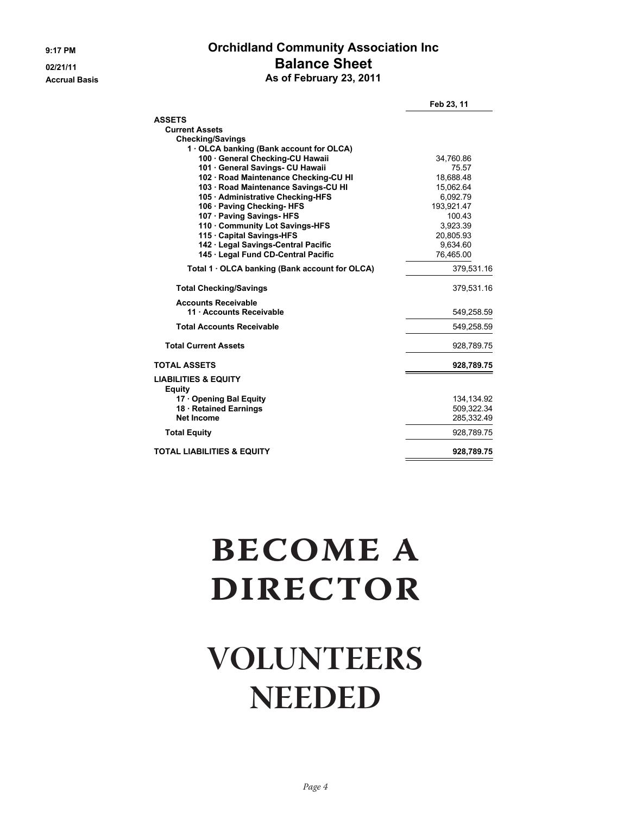#### **9:17 PM Orchidland Community Association Inc 02/21/11 Balance Sheet Accrual Basis As of February 23, 2011**

|                                                      | Feb 23, 11   |
|------------------------------------------------------|--------------|
| <b>ASSETS</b>                                        |              |
| <b>Current Assets</b>                                |              |
| <b>Checking/Savings</b>                              |              |
| 1 OLCA banking (Bank account for OLCA)               |              |
| 100 · General Checking-CU Hawaii                     | 34,760.86    |
| 101 · General Savings- CU Hawaii                     | 75.57        |
| 102 · Road Maintenance Checking-CU HI                | 18.688.48    |
| 103 · Road Maintenance Savings-CU HI                 | 15,062.64    |
| 105 · Administrative Checking-HFS                    | 6,092.79     |
| 106 · Paving Checking-HFS                            | 193,921.47   |
| 107 · Paving Savings- HFS                            | 100.43       |
| 110 Community Lot Savings-HFS                        | 3,923.39     |
| 115 · Capital Savings-HFS                            | 20,805.93    |
| 142 · Legal Savings-Central Pacific                  | 9,634.60     |
| 145 · Legal Fund CD-Central Pacific                  | 76,465.00    |
| Total 1 $\cdot$ OLCA banking (Bank account for OLCA) | 379,531.16   |
| <b>Total Checking/Savings</b>                        | 379,531.16   |
| <b>Accounts Receivable</b>                           |              |
| 11 · Accounts Receivable                             | 549,258.59   |
| <b>Total Accounts Receivable</b>                     | 549,258.59   |
| <b>Total Current Assets</b>                          | 928,789.75   |
| <b>TOTAL ASSETS</b>                                  | 928,789.75   |
| <b>LIABILITIES &amp; EQUITY</b><br><b>Equity</b>     |              |
| 17 Opening Bal Equity                                | 134, 134. 92 |
| 18 · Retained Earnings                               | 509,322.34   |
| Net Income                                           | 285,332.49   |
| <b>Total Equity</b>                                  | 928,789.75   |
| <b>TOTAL LIABILITIES &amp; EQUITY</b>                | 928,789.75   |

# **BECOME A DIRECTOR**

## **VOLUNTEERS NEEDED**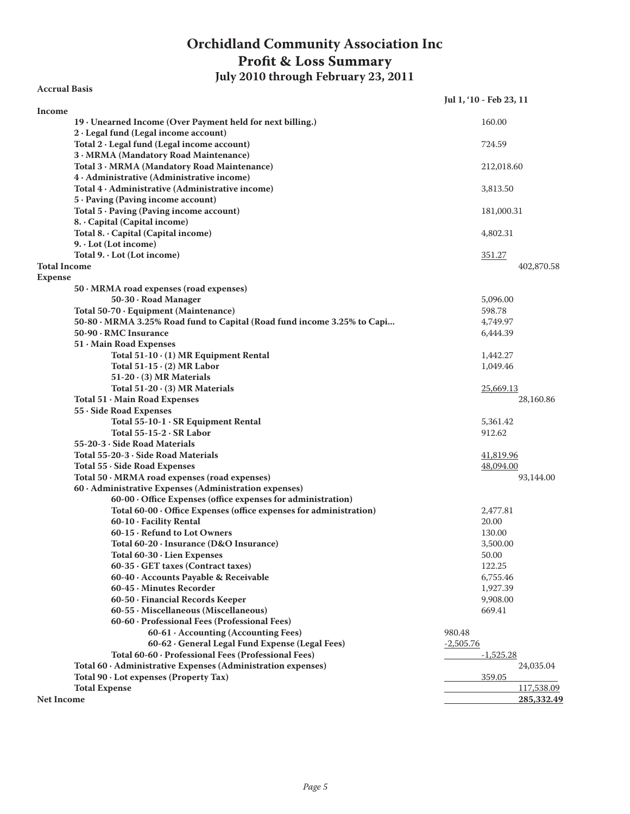### **Orchidland Community Association Inc Profit & Loss Summary**

**July 2010 through February 23, 2011**

**Accrual Basis**

|                                                                                           | Jul 1, '10 - Feb 23, 11 |
|-------------------------------------------------------------------------------------------|-------------------------|
| Income                                                                                    |                         |
| 19 · Unearned Income (Over Payment held for next billing.)                                | 160.00                  |
| 2 · Legal fund (Legal income account)                                                     |                         |
| Total $2 \cdot$ Legal fund (Legal income account)                                         | 724.59                  |
| 3 · MRMA (Mandatory Road Maintenance)                                                     |                         |
| Total 3 · MRMA (Mandatory Road Maintenance)<br>4 · Administrative (Administrative income) | 212,018.60              |
| Total $4 \cdot$ Administrative (Administrative income)                                    | 3,813.50                |
| 5 · Paving (Paving income account)                                                        |                         |
| Total $5 \cdot$ Paving (Paving income account)                                            | 181,000.31              |
| 8. Capital (Capital income)                                                               |                         |
| Total 8. Capital (Capital income)                                                         | 4,802.31                |
| $9. \cdot$ Lot (Lot income)                                                               |                         |
| Total $9. \cdot$ Lot (Lot income)                                                         | 351.27                  |
| <b>Total Income</b>                                                                       | 402,870.58              |
| <b>Expense</b>                                                                            |                         |
| $50 \cdot MRMA$ road expenses (road expenses)                                             |                         |
| 50-30 · Road Manager                                                                      | 5,096.00                |
| Total 50-70 · Equipment (Maintenance)                                                     | 598.78                  |
| 50-80 · MRMA 3.25% Road fund to Capital (Road fund income 3.25% to Capi                   | 4,749.97                |
| 50-90 · RMC Insurance                                                                     | 6,444.39                |
| 51 Main Road Expenses                                                                     |                         |
| Total 51-10 · (1) MR Equipment Rental                                                     | 1,442.27                |
| Total $51-15 \cdot (2)$ MR Labor                                                          | 1,049.46                |
| $51-20 \cdot (3)$ MR Materials                                                            |                         |
| Total $51-20 \cdot (3)$ MR Materials                                                      | 25,669.13               |
| Total 51 · Main Road Expenses                                                             | 28,160.86               |
| 55 · Side Road Expenses                                                                   |                         |
| Total $55-10-1$ $\cdot$ SR Equipment Rental                                               | 5,361.42                |
| Total $55-15-2 \cdot SR$ Labor                                                            | 912.62                  |
| $55-20-3$ $\cdot$ Side Road Materials                                                     |                         |
| Total 55-20-3 · Side Road Materials                                                       | 41,819.96               |
| Total 55 · Side Road Expenses                                                             | 48,094.00               |
| Total $50 \cdot MRMA$ road expenses (road expenses)                                       | 93,144.00               |
| 60 · Administrative Expenses (Administration expenses)                                    |                         |
| 60-00 · Office Expenses (office expenses for administration)                              |                         |
| Total 60-00 · Office Expenses (office expenses for administration)                        | 2,477.81                |
| 60-10 · Facility Rental                                                                   | 20.00                   |
| 60-15 · Refund to Lot Owners                                                              | 130.00                  |
| Total $60-20$ · Insurance (D&O Insurance)                                                 | 3,500.00                |
| Total $60-30 \cdot$ Lien Expenses                                                         | 50.00                   |
| 60-35 · GET taxes (Contract taxes)                                                        | 122.25                  |
| 60-40 · Accounts Payable & Receivable                                                     | 6,755.46                |
| 60-45 · Minutes Recorder                                                                  | 1,927.39                |
| 60-50 · Financial Records Keeper                                                          | 9,908.00                |
| 60-55 · Miscellaneous (Miscellaneous)                                                     | 669.41                  |
| 60-60 · Professional Fees (Professional Fees)                                             |                         |
| 60-61 · Accounting (Accounting Fees)                                                      | 980.48                  |
| 60-62 · General Legal Fund Expense (Legal Fees)                                           | $-2,505.76$             |
| Total 60-60 · Professional Fees (Professional Fees)                                       | $-1,525.28$             |
| Total 60 · Administrative Expenses (Administration expenses)                              | 24,035.04               |
| Total 90 · Lot expenses (Property Tax)                                                    | 359.05                  |
| <b>Total Expense</b>                                                                      | 117,538.09              |
| <b>Net Income</b>                                                                         | 285,332.49              |